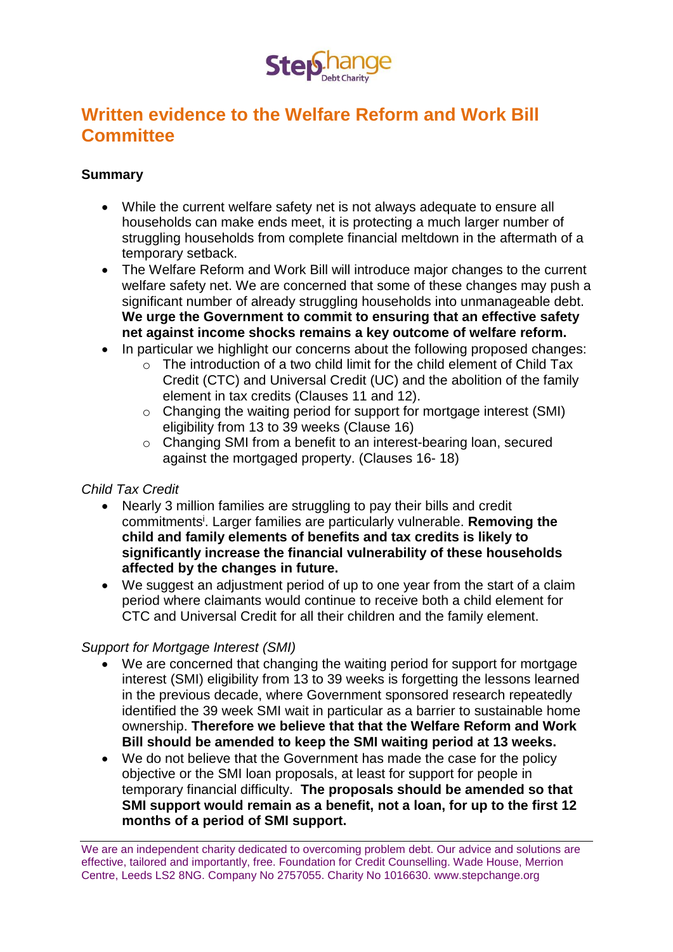

# **Written evidence to the Welfare Reform and Work Bill Committee**

#### **Summary**

- While the current welfare safety net is not always adequate to ensure all households can make ends meet, it is protecting a much larger number of struggling households from complete financial meltdown in the aftermath of a temporary setback.
- The Welfare Reform and Work Bill will introduce major changes to the current welfare safety net. We are concerned that some of these changes may push a significant number of already struggling households into unmanageable debt. **We urge the Government to commit to ensuring that an effective safety net against income shocks remains a key outcome of welfare reform.**
- In particular we highlight our concerns about the following proposed changes:
	- o The introduction of a two child limit for the child element of Child Tax Credit (CTC) and Universal Credit (UC) and the abolition of the family element in tax credits (Clauses 11 and 12).
	- o Changing the waiting period for support for mortgage interest (SMI) eligibility from 13 to 39 weeks (Clause 16)
	- o Changing SMI from a benefit to an interest-bearing loan, secured against the mortgaged property. (Clauses 16- 18)

### *Child Tax Credit*

- Nearly 3 million families are struggling to pay their bills and credit commitments<sup>i</sup> . Larger families are particularly vulnerable. **Removing the child and family elements of benefits and tax credits is likely to significantly increase the financial vulnerability of these households affected by the changes in future.**
- We suggest an adjustment period of up to one year from the start of a claim period where claimants would continue to receive both a child element for CTC and Universal Credit for all their children and the family element.

### *Support for Mortgage Interest (SMI)*

- We are concerned that changing the waiting period for support for mortgage interest (SMI) eligibility from 13 to 39 weeks is forgetting the lessons learned in the previous decade, where Government sponsored research repeatedly identified the 39 week SMI wait in particular as a barrier to sustainable home ownership. **Therefore we believe that that the Welfare Reform and Work Bill should be amended to keep the SMI waiting period at 13 weeks.**
- We do not believe that the Government has made the case for the policy objective or the SMI loan proposals, at least for support for people in temporary financial difficulty. **The proposals should be amended so that SMI support would remain as a benefit, not a loan, for up to the first 12 months of a period of SMI support.**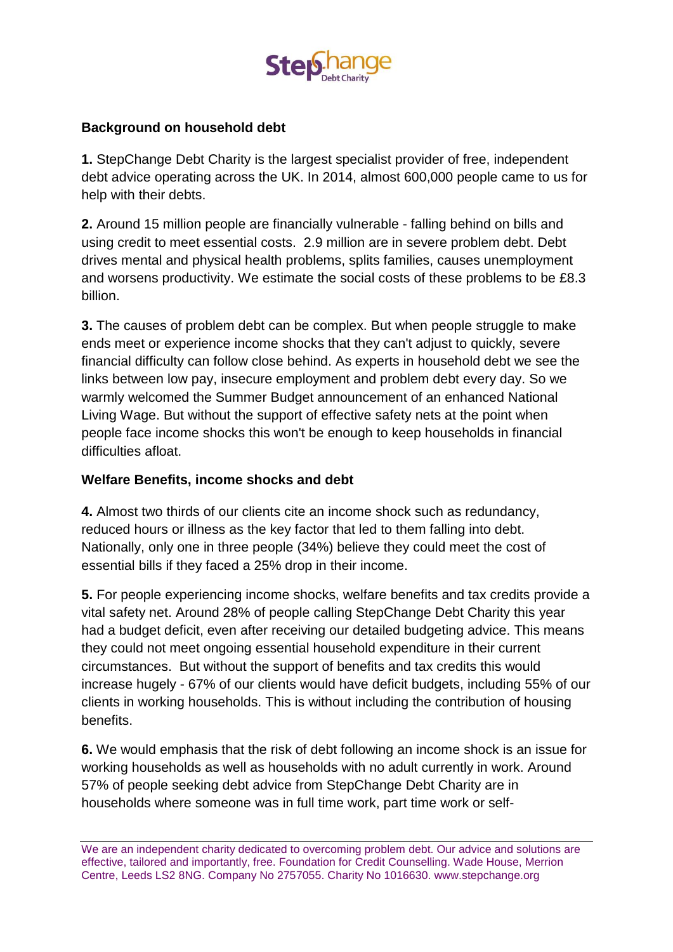

### **Background on household debt**

**1.** StepChange Debt Charity is the largest specialist provider of free, independent debt advice operating across the UK. In 2014, almost 600,000 people came to us for help with their debts.

**2.** Around 15 million people are financially vulnerable - falling behind on bills and using credit to meet essential costs. 2.9 million are in severe problem debt. Debt drives mental and physical health problems, splits families, causes unemployment and worsens productivity. We estimate the social costs of these problems to be £8.3 billion.

**3.** The causes of problem debt can be complex. But when people struggle to make ends meet or experience income shocks that they can't adjust to quickly, severe financial difficulty can follow close behind. As experts in household debt we see the links between low pay, insecure employment and problem debt every day. So we warmly welcomed the Summer Budget announcement of an enhanced National Living Wage. But without the support of effective safety nets at the point when people face income shocks this won't be enough to keep households in financial difficulties afloat.

### **Welfare Benefits, income shocks and debt**

**4.** Almost two thirds of our clients cite an income shock such as redundancy, reduced hours or illness as the key factor that led to them falling into debt. Nationally, only one in three people (34%) believe they could meet the cost of essential bills if they faced a 25% drop in their income.

**5.** For people experiencing income shocks, welfare benefits and tax credits provide a vital safety net. Around 28% of people calling StepChange Debt Charity this year had a budget deficit, even after receiving our detailed budgeting advice. This means they could not meet ongoing essential household expenditure in their current circumstances. But without the support of benefits and tax credits this would increase hugely - 67% of our clients would have deficit budgets, including 55% of our clients in working households. This is without including the contribution of housing benefits.

**6.** We would emphasis that the risk of debt following an income shock is an issue for working households as well as households with no adult currently in work. Around 57% of people seeking debt advice from StepChange Debt Charity are in households where someone was in full time work, part time work or self-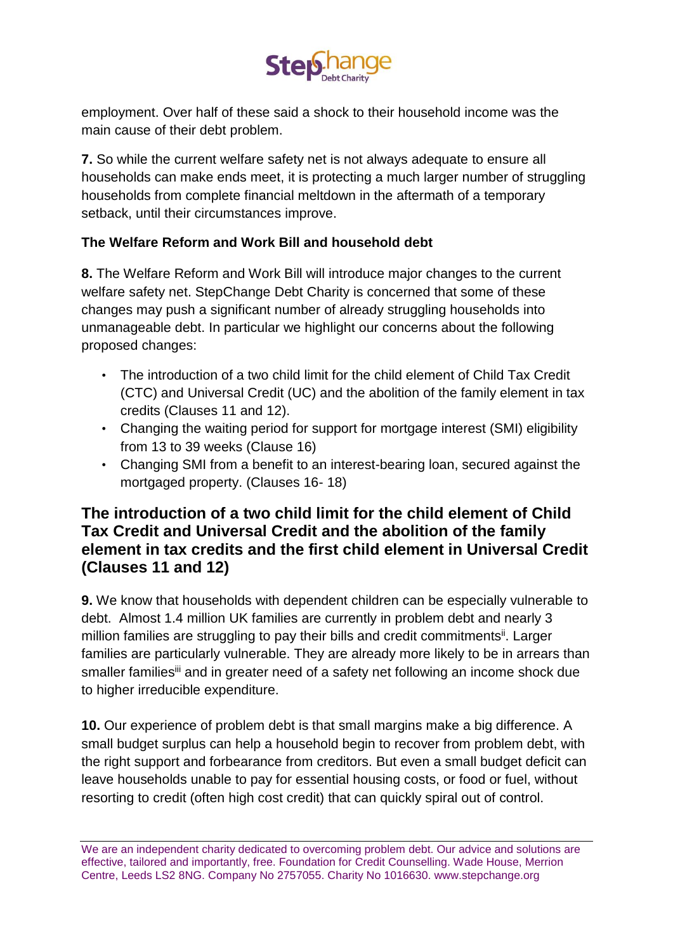

employment. Over half of these said a shock to their household income was the main cause of their debt problem.

**7.** So while the current welfare safety net is not always adequate to ensure all households can make ends meet, it is protecting a much larger number of struggling households from complete financial meltdown in the aftermath of a temporary setback, until their circumstances improve.

### **The Welfare Reform and Work Bill and household debt**

**8.** The Welfare Reform and Work Bill will introduce major changes to the current welfare safety net. StepChange Debt Charity is concerned that some of these changes may push a significant number of already struggling households into unmanageable debt. In particular we highlight our concerns about the following proposed changes:

- The introduction of a two child limit for the child element of Child Tax Credit (CTC) and Universal Credit (UC) and the abolition of the family element in tax credits (Clauses 11 and 12).
- Changing the waiting period for support for mortgage interest (SMI) eligibility from 13 to 39 weeks (Clause 16)
- Changing SMI from a benefit to an interest-bearing loan, secured against the mortgaged property. (Clauses 16- 18)

### **The introduction of a two child limit for the child element of Child Tax Credit and Universal Credit and the abolition of the family element in tax credits and the first child element in Universal Credit (Clauses 11 and 12)**

**9.** We know that households with dependent children can be especially vulnerable to debt. Almost 1.4 million UK families are currently in problem debt and nearly 3 million families are struggling to pay their bills and credit commitments<sup>ii</sup>. Larger families are particularly vulnerable. They are already more likely to be in arrears than smaller families<sup>iii</sup> and in greater need of a safety net following an income shock due to higher irreducible expenditure.

**10.** Our experience of problem debt is that small margins make a big difference. A small budget surplus can help a household begin to recover from problem debt, with the right support and forbearance from creditors. But even a small budget deficit can leave households unable to pay for essential housing costs, or food or fuel, without resorting to credit (often high cost credit) that can quickly spiral out of control.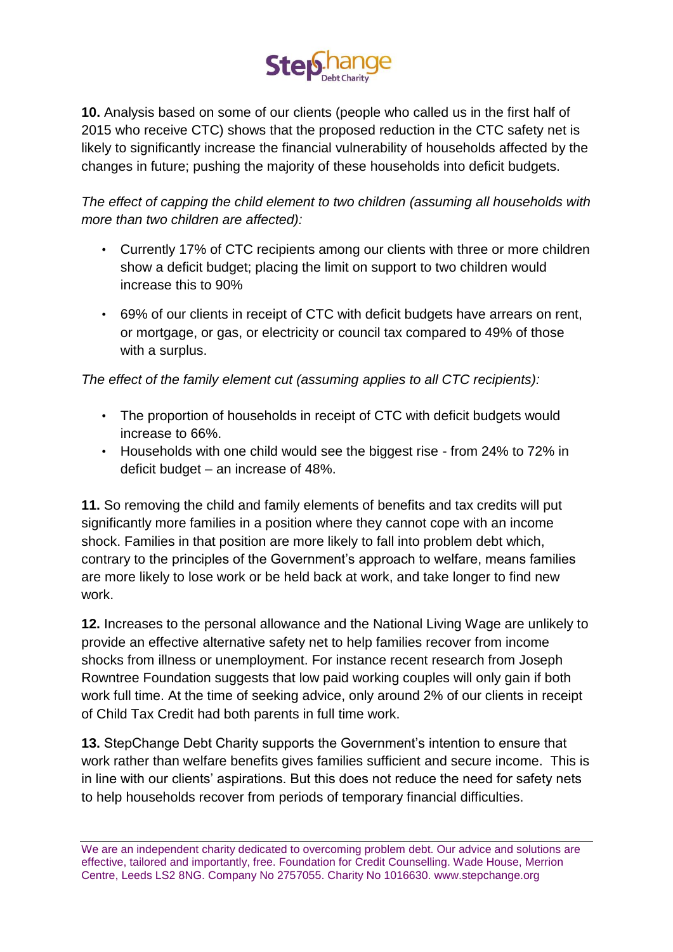

**10.** Analysis based on some of our clients (people who called us in the first half of 2015 who receive CTC) shows that the proposed reduction in the CTC safety net is likely to significantly increase the financial vulnerability of households affected by the changes in future; pushing the majority of these households into deficit budgets.

*The effect of capping the child element to two children (assuming all households with more than two children are affected):*

- Currently 17% of CTC recipients among our clients with three or more children show a deficit budget; placing the limit on support to two children would increase this to 90%
- 69% of our clients in receipt of CTC with deficit budgets have arrears on rent, or mortgage, or gas, or electricity or council tax compared to 49% of those with a surplus.

*The effect of the family element cut (assuming applies to all CTC recipients):*

- The proportion of households in receipt of CTC with deficit budgets would increase to 66%.
- Households with one child would see the biggest rise from 24% to 72% in deficit budget – an increase of 48%.

**11.** So removing the child and family elements of benefits and tax credits will put significantly more families in a position where they cannot cope with an income shock. Families in that position are more likely to fall into problem debt which, contrary to the principles of the Government's approach to welfare, means families are more likely to lose work or be held back at work, and take longer to find new work.

**12.** Increases to the personal allowance and the National Living Wage are unlikely to provide an effective alternative safety net to help families recover from income shocks from illness or unemployment. For instance recent research from Joseph Rowntree Foundation suggests that low paid working couples will only gain if both work full time. At the time of seeking advice, only around 2% of our clients in receipt of Child Tax Credit had both parents in full time work.

**13.** StepChange Debt Charity supports the Government's intention to ensure that work rather than welfare benefits gives families sufficient and secure income. This is in line with our clients' aspirations. But this does not reduce the need for safety nets to help households recover from periods of temporary financial difficulties.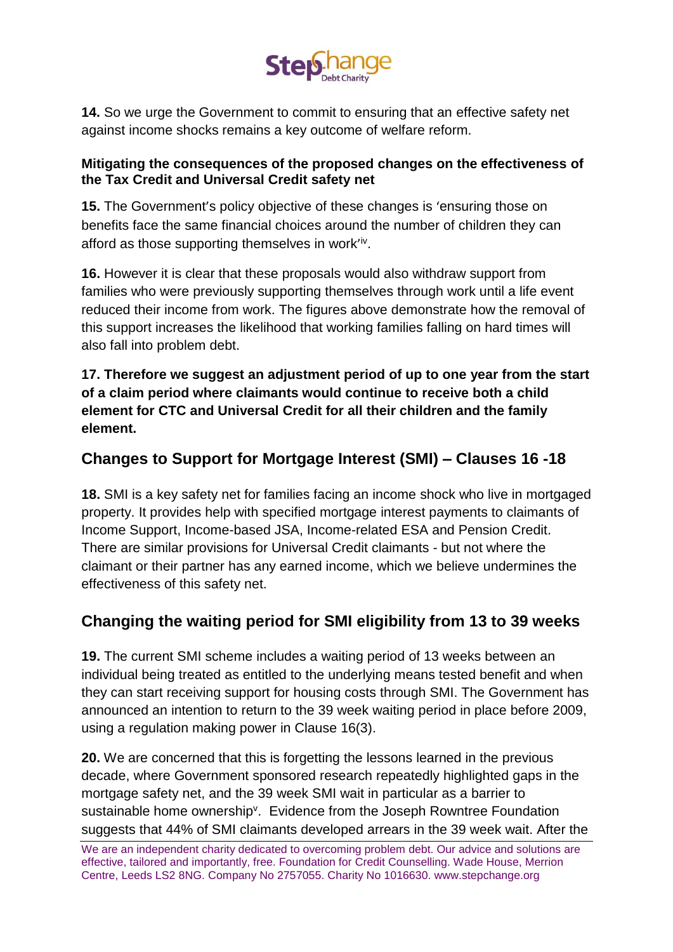

**14.** So we urge the Government to commit to ensuring that an effective safety net against income shocks remains a key outcome of welfare reform.

### **Mitigating the consequences of the proposed changes on the effectiveness of the Tax Credit and Universal Credit safety net**

**15.** The Government's policy objective of these changes is 'ensuring those on benefits face the same financial choices around the number of children they can afford as those supporting themselves in work'iv.

**16.** However it is clear that these proposals would also withdraw support from families who were previously supporting themselves through work until a life event reduced their income from work. The figures above demonstrate how the removal of this support increases the likelihood that working families falling on hard times will also fall into problem debt.

**17. Therefore we suggest an adjustment period of up to one year from the start of a claim period where claimants would continue to receive both a child element for CTC and Universal Credit for all their children and the family element.**

# **Changes to Support for Mortgage Interest (SMI) – Clauses 16 -18**

**18.** SMI is a key safety net for families facing an income shock who live in mortgaged property. It provides help with specified mortgage interest payments to claimants of Income Support, Income-based JSA, Income-related ESA and Pension Credit. There are similar provisions for Universal Credit claimants - but not where the claimant or their partner has any earned income, which we believe undermines the effectiveness of this safety net.

# **Changing the waiting period for SMI eligibility from 13 to 39 weeks**

**19.** The current SMI scheme includes a waiting period of 13 weeks between an individual being treated as entitled to the underlying means tested benefit and when they can start receiving support for housing costs through SMI. The Government has announced an intention to return to the 39 week waiting period in place before 2009, using a regulation making power in Clause 16(3).

**20.** We are concerned that this is forgetting the lessons learned in the previous decade, where Government sponsored research repeatedly highlighted gaps in the mortgage safety net, and the 39 week SMI wait in particular as a barrier to sustainable home ownership<sup>v</sup>. Evidence from the Joseph Rowntree Foundation suggests that 44% of SMI claimants developed arrears in the 39 week wait. After the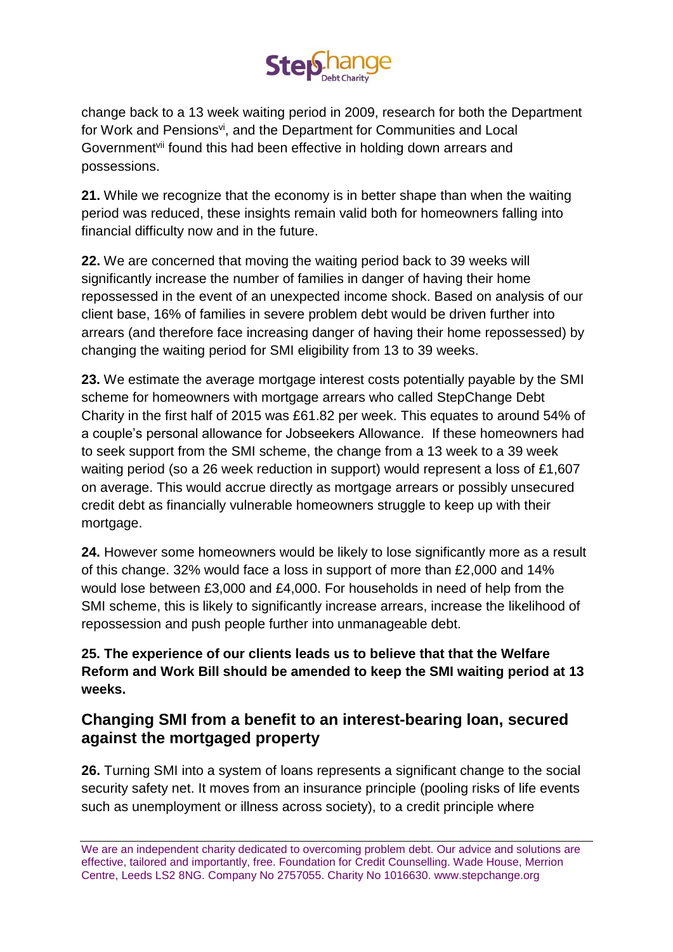

change back to a 13 week waiting period in 2009, research for both the Department for Work and Pensions<sup>vi</sup>, and the Department for Communities and Local Government<sup>vii</sup> found this had been effective in holding down arrears and possessions.

**21.** While we recognize that the economy is in better shape than when the waiting period was reduced, these insights remain valid both for homeowners falling into financial difficulty now and in the future.

**22.** We are concerned that moving the waiting period back to 39 weeks will significantly increase the number of families in danger of having their home repossessed in the event of an unexpected income shock. Based on analysis of our client base, 16% of families in severe problem debt would be driven further into arrears (and therefore face increasing danger of having their home repossessed) by changing the waiting period for SMI eligibility from 13 to 39 weeks.

**23.** We estimate the average mortgage interest costs potentially payable by the SMI scheme for homeowners with mortgage arrears who called StepChange Debt Charity in the first half of 2015 was £61.82 per week. This equates to around 54% of a couple's personal allowance for Jobseekers Allowance. If these homeowners had to seek support from the SMI scheme, the change from a 13 week to a 39 week waiting period (so a 26 week reduction in support) would represent a loss of £1,607 on average. This would accrue directly as mortgage arrears or possibly unsecured credit debt as financially vulnerable homeowners struggle to keep up with their mortgage.

**24.** However some homeowners would be likely to lose significantly more as a result of this change. 32% would face a loss in support of more than £2,000 and 14% would lose between £3,000 and £4,000. For households in need of help from the SMI scheme, this is likely to significantly increase arrears, increase the likelihood of repossession and push people further into unmanageable debt.

### **25. The experience of our clients leads us to believe that that the Welfare Reform and Work Bill should be amended to keep the SMI waiting period at 13 weeks.**

## **Changing SMI from a benefit to an interest-bearing loan, secured against the mortgaged property**

**26.** Turning SMI into a system of loans represents a significant change to the social security safety net. It moves from an insurance principle (pooling risks of life events such as unemployment or illness across society), to a credit principle where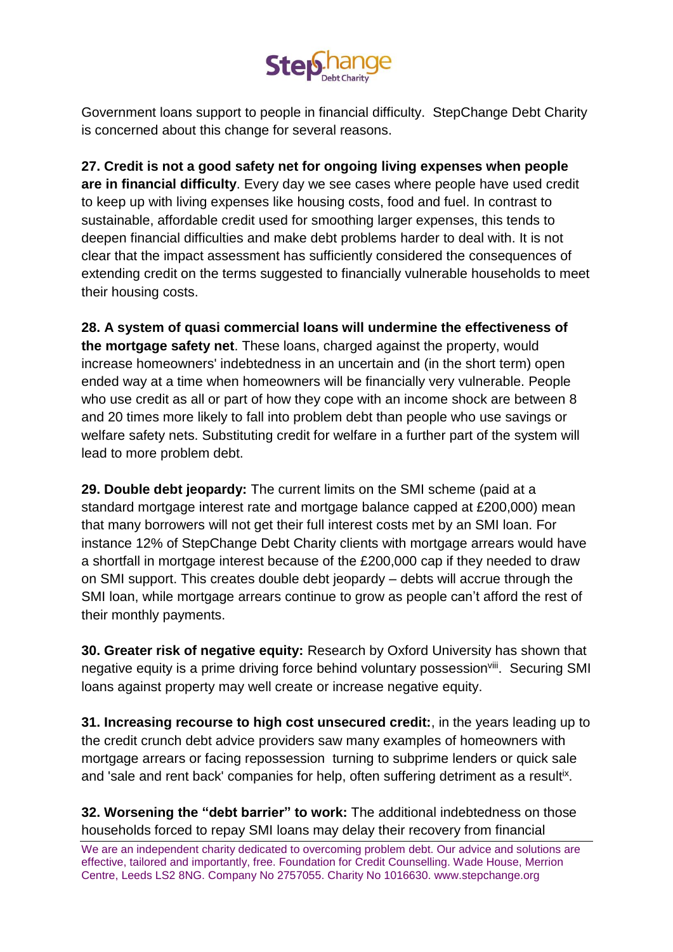

Government loans support to people in financial difficulty. StepChange Debt Charity is concerned about this change for several reasons.

**27. Credit is not a good safety net for ongoing living expenses when people are in financial difficulty**. Every day we see cases where people have used credit to keep up with living expenses like housing costs, food and fuel. In contrast to sustainable, affordable credit used for smoothing larger expenses, this tends to deepen financial difficulties and make debt problems harder to deal with. It is not clear that the impact assessment has sufficiently considered the consequences of extending credit on the terms suggested to financially vulnerable households to meet their housing costs.

**28. A system of quasi commercial loans will undermine the effectiveness of the mortgage safety net**. These loans, charged against the property, would increase homeowners' indebtedness in an uncertain and (in the short term) open ended way at a time when homeowners will be financially very vulnerable. People who use credit as all or part of how they cope with an income shock are between 8 and 20 times more likely to fall into problem debt than people who use savings or welfare safety nets. Substituting credit for welfare in a further part of the system will lead to more problem debt.

**29. Double debt jeopardy:** The current limits on the SMI scheme (paid at a standard mortgage interest rate and mortgage balance capped at £200,000) mean that many borrowers will not get their full interest costs met by an SMI loan. For instance 12% of StepChange Debt Charity clients with mortgage arrears would have a shortfall in mortgage interest because of the £200,000 cap if they needed to draw on SMI support. This creates double debt jeopardy – debts will accrue through the SMI loan, while mortgage arrears continue to grow as people can't afford the rest of their monthly payments.

**30. Greater risk of negative equity:** Research by Oxford University has shown that negative equity is a prime driving force behind voluntary possession<sup>viii</sup>. Securing SMI loans against property may well create or increase negative equity.

**31. Increasing recourse to high cost unsecured credit:**, in the years leading up to the credit crunch debt advice providers saw many examples of homeowners with mortgage arrears or facing repossession turning to subprime lenders or quick sale and 'sale and rent back' companies for help, often suffering detriment as a resultix.

**32. Worsening the "debt barrier" to work:** The additional indebtedness on those households forced to repay SMI loans may delay their recovery from financial

We are an independent charity dedicated to overcoming problem debt. Our advice and solutions are effective, tailored and importantly, free. Foundation for Credit Counselling. Wade House, Merrion Centre, Leeds LS2 8NG. Company No 2757055. Charity No 1016630. www.stepchange.org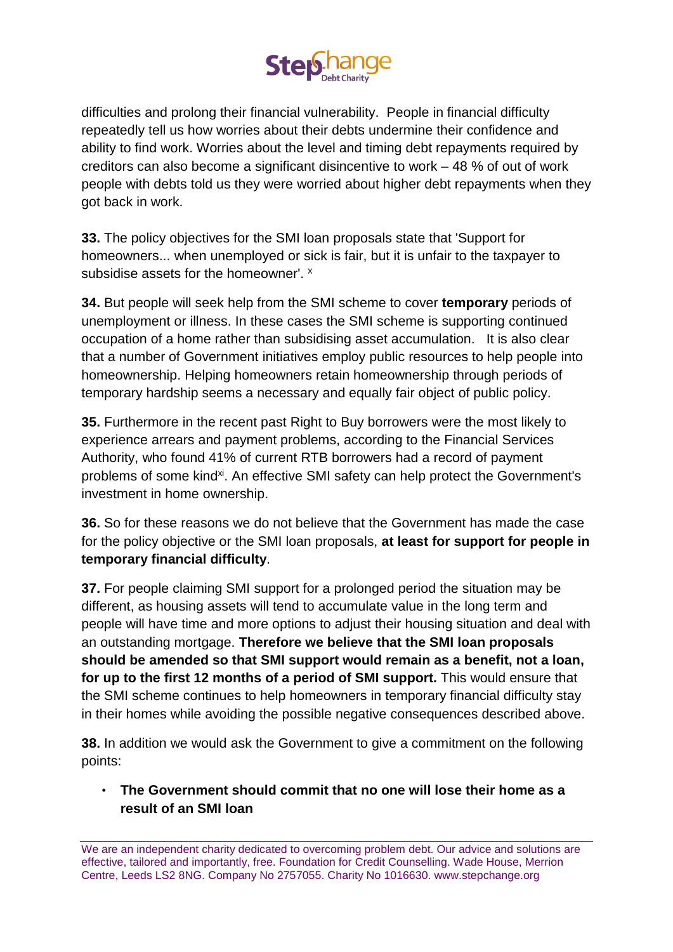

difficulties and prolong their financial vulnerability. People in financial difficulty repeatedly tell us how worries about their debts undermine their confidence and ability to find work. Worries about the level and timing debt repayments required by creditors can also become a significant disincentive to work – 48 % of out of work people with debts told us they were worried about higher debt repayments when they got back in work.

**33.** The policy objectives for the SMI loan proposals state that 'Support for homeowners... when unemployed or sick is fair, but it is unfair to the taxpayer to subsidise assets for the homeowner'. x

**34.** But people will seek help from the SMI scheme to cover **temporary** periods of unemployment or illness. In these cases the SMI scheme is supporting continued occupation of a home rather than subsidising asset accumulation. It is also clear that a number of Government initiatives employ public resources to help people into homeownership. Helping homeowners retain homeownership through periods of temporary hardship seems a necessary and equally fair object of public policy.

**35.** Furthermore in the recent past Right to Buy borrowers were the most likely to experience arrears and payment problems, according to the Financial Services Authority, who found 41% of current RTB borrowers had a record of payment problems of some kind<sup>xi</sup>. An effective SMI safety can help protect the Government's investment in home ownership.

**36.** So for these reasons we do not believe that the Government has made the case for the policy objective or the SMI loan proposals, **at least for support for people in temporary financial difficulty**.

**37.** For people claiming SMI support for a prolonged period the situation may be different, as housing assets will tend to accumulate value in the long term and people will have time and more options to adjust their housing situation and deal with an outstanding mortgage. **Therefore we believe that the SMI loan proposals should be amended so that SMI support would remain as a benefit, not a loan, for up to the first 12 months of a period of SMI support.** This would ensure that the SMI scheme continues to help homeowners in temporary financial difficulty stay in their homes while avoiding the possible negative consequences described above.

**38.** In addition we would ask the Government to give a commitment on the following points:

• **The Government should commit that no one will lose their home as a result of an SMI loan**